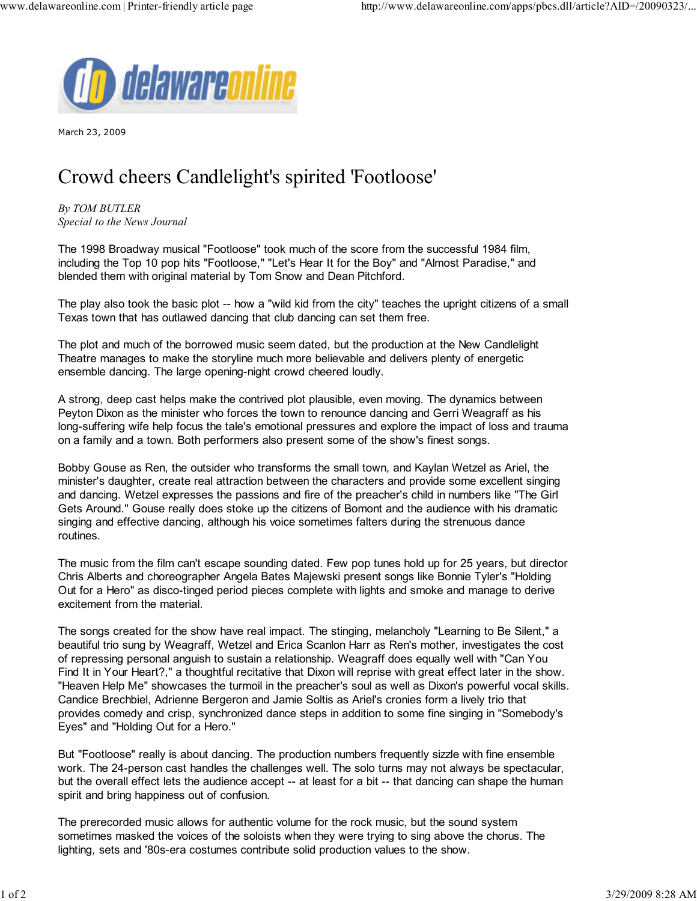

March 23, 2009

## Crowd cheers Candlelight's spirited 'Footloose'

By TOM BUTLER Special to the News Journal

The 1998 Broadway musical "Footloose" took much of the score from the successful 1984 film, including the Top 10 pop hits "Footloose," "Let's Hear It for the Boy" and "Almost Paradise," and blended them with original material by Tom Snow and Dean Pitchford.

The play also took the basic plot -- how a "wild kid from the city" teaches the upright citizens of a small Texas town that has outlawed dancing that club dancing can set them free.

The plot and much of the borrowed music seem dated, but the production at the New Candlelight Theatre manages to make the storyline much more believable and delivers plenty of energetic ensemble dancing. The large opening-night crowd cheered loudly.

A strong, deep cast helps make the contrived plot plausible, even moving. The dynamics between Peyton Dixon as the minister who forces the town to renounce dancing and Gerri Weagraff as his long-suffering wife help focus the tale's emotional pressures and explore the impact of loss and trauma on a family and a town. Both performers also present some of the show's finest songs.

Bobby Gouse as Ren, the outsider who transforms the small town, and Kaylan Wetzel as Ariel, the minister's daughter, create real attraction between the characters and provide some excellent singing and dancing. Wetzel expresses the passions and fire of the preacher's child in numbers like "The Girl Gets Around." Gouse really does stoke up the citizens of Bomont and the audience with his dramatic singing and effective dancing, although his voice sometimes falters during the strenuous dance routines.

The music from the film can't escape sounding dated. Few pop tunes hold up for 25 years, but director Chris Alberts and choreographer Angela Bates Majewski present songs like Bonnie Tyler's "Holding Out for a Hero" as disco-tinged period pieces complete with lights and smoke and manage to derive excitement from the material.

The songs created for the show have real impact. The stinging, melancholy "Learning to Be Silent," a beautiful trio sung by Weagraff, Wetzel and Erica Scanlon Harr as Ren's mother, investigates the cost of repressing personal anguish to sustain a relationship. Weagraff does equally well with "Can You Find It in Your Heart?," a thoughtful recitative that Dixon will reprise with great effect later in the show. "Heaven Help Me" showcases the turmoil in the preacher's soul as well as Dixon's powerful vocal skills. Candice Brechbiel, Adrienne Bergeron and Jamie Soltis as Ariel's cronies form a lively trio that provides comedy and crisp, synchronized dance steps in addition to some fine singing in "Somebody's Eyes" and "Holding Out for a Hero."

But "Footloose" really is about dancing. The production numbers frequently sizzle with fine ensemble work. The 24-person cast handles the challenges well. The solo turns may not always be spectacular, but the overall effect lets the audience accept -- at least for a bit -- that dancing can shape the human spirit and bring happiness out of confusion.

The prerecorded music allows for authentic volume for the rock music, but the sound system sometimes masked the voices of the soloists when they were trying to sing above the chorus. The lighting, sets and '80s-era costumes contribute solid production values to the show.